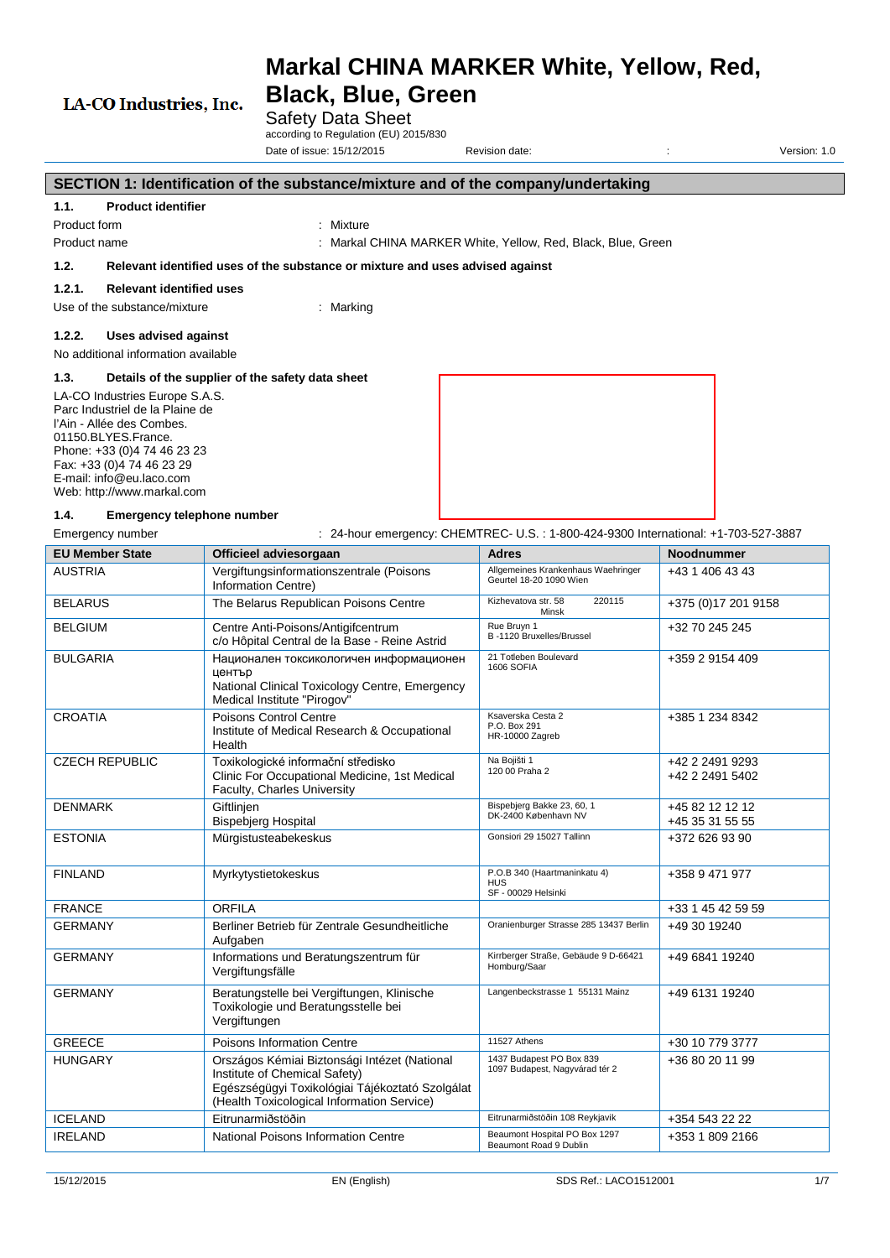# **Markal CHINA MARKER White, Yellow, Red,**

# LA-CO Industries, Inc.

# **Black, Blue, Green** Safety Data Sheet

according to Regulation (EU) 2015/830 Date of issue: 15/12/2015 Revision date:  $\overline{a}$  Revision date:  $\overline{b}$   $\overline{c}$   $\overline{c}$   $\overline{c}$   $\overline{d}$   $\overline{c}$   $\overline{d}$   $\overline{c}$   $\overline{d}$   $\overline{c}$   $\overline{d}$   $\overline{c}$   $\overline{d}$   $\overline{c}$   $\overline{d}$   $\overline{c}$   $\overline{d}$   $\overline$ 

#### **SECTION 1: Identification of the substance/mixture and of the company/undertaking 1.1. Product identifier** Product form : Mixture Product name : Markal CHINA MARKER White, Yellow, Red, Black, Blue, Green **1.2. Relevant identified uses of the substance or mixture and uses advised against 1.2.1. Relevant identified uses** Use of the substance/mixture : Marking **1.2.2. Uses advised against** No additional information available **1.3. Details of the supplier of the safety data sheet** LA-CO Industries Europe S.A.S. Parc Industriel de la Plaine de l'Ain - Allée des Combes. 01150.BLYES.France. Phone: +33 (0)4 74 46 23 23 Fax: +33 (0)4 74 46 23 29 E-mail: info@eu.laco.com Web: http://www.markal.com **1.4. Emergency telephone number** Emergency number : 24-hour emergency: CHEMTREC- U.S. : 1-800-424-9300 International: +1-703-527-3887 **EU Member State Officieel adviesorgaan Adres Noodnummer** AUSTRIA Vergiftungsinformationszentrale (Poisons Information Centre) Allgemeines Krankenhaus Waehringer | +43 1 406 43 43<br>Geurtel 18-20 1090 Wien BELARUS **The Belarus Republican Poisons Centre** Kizhevatova str. 58 220115 +375 (0)17 201 9158 BELCIUM Centre Anti-Deisens/Antigifcentrum c/o Hôpital Central de la Base - Reine Astrid Rue Bruyn 1 B -1120 Bruxelles/Brussel  $\frac{1}{32}$   $\frac{1}{32}$   $\frac{1}{32}$   $\frac{1}{32}$   $\frac{1}{32}$ BULGARIA Национален токсикологичен информационен 21 Totleben Boulevard +359 2 9154 409

| BELGIUM                                                                                                                                     | Centre Anti-Poisons/Antigifcentrum<br>c/o Hôpital Central de la Base - Reine Astrid                                                                                            | Rue Bruyn 1<br>B-1120 Bruxelles/Brussel                           | +32 70 245 245                     |
|---------------------------------------------------------------------------------------------------------------------------------------------|--------------------------------------------------------------------------------------------------------------------------------------------------------------------------------|-------------------------------------------------------------------|------------------------------------|
| <b>BULGARIA</b>                                                                                                                             | Национален токсикологичен информационен<br>център<br>National Clinical Toxicology Centre, Emergency<br>Medical Institute "Pirogov"                                             | 21 Totleben Boulevard<br><b>1606 SOFIA</b>                        | +359 2 9154 409                    |
| <b>CROATIA</b>                                                                                                                              | Poisons Control Centre<br>Institute of Medical Research & Occupational<br>Health                                                                                               | Ksaverska Cesta 2<br>P.O. Box 291<br>HR-10000 Zagreb              | +385 1 234 8342                    |
| <b>CZECH REPUBLIC</b><br>Toxikologické informační středisko<br>Clinic For Occupational Medicine, 1st Medical<br>Faculty, Charles University |                                                                                                                                                                                | Na Bojišti 1<br>120 00 Praha 2                                    | +42 2 2491 9293<br>+42 2 2491 5402 |
| <b>DENMARK</b>                                                                                                                              | Giftlinjen<br><b>Bispebjerg Hospital</b>                                                                                                                                       | Bispebjerg Bakke 23, 60, 1<br>DK-2400 København NV                | +45 82 12 12 12<br>+45 35 31 55 55 |
| <b>ESTONIA</b>                                                                                                                              | Mürgistusteabekeskus                                                                                                                                                           | Gonsiori 29 15027 Tallinn                                         | +372 626 93 90                     |
| Myrkytystietokeskus<br><b>FINLAND</b>                                                                                                       |                                                                                                                                                                                | P.O.B 340 (Haartmaninkatu 4)<br><b>HUS</b><br>SF - 00029 Helsinki | +358 9 471 977                     |
| <b>FRANCE</b>                                                                                                                               | <b>ORFILA</b>                                                                                                                                                                  |                                                                   | +33 1 45 42 59 59                  |
| <b>GERMANY</b>                                                                                                                              | Berliner Betrieb für Zentrale Gesundheitliche<br>Aufgaben                                                                                                                      | Oranienburger Strasse 285 13437 Berlin                            | +49 30 19240                       |
| <b>GERMANY</b>                                                                                                                              | Informations und Beratungszentrum für<br>Vergiftungsfälle                                                                                                                      | Kirrberger Straße, Gebäude 9 D-66421<br>Homburg/Saar              | +49 6841 19240                     |
| <b>GERMANY</b>                                                                                                                              | Beratungstelle bei Vergiftungen, Klinische<br>Toxikologie und Beratungsstelle bei<br>Vergiftungen                                                                              | Langenbeckstrasse 1 55131 Mainz                                   | +49 6131 19240                     |
| <b>GREECE</b>                                                                                                                               | Poisons Information Centre                                                                                                                                                     | 11527 Athens                                                      | +30 10 779 3777                    |
| <b>HUNGARY</b>                                                                                                                              | Országos Kémiai Biztonsági Intézet (National<br>Institute of Chemical Safety)<br>Egészségügyi Toxikológiai Tájékoztató Szolgálat<br>(Health Toxicological Information Service) | 1437 Budapest PO Box 839<br>1097 Budapest, Nagyvárad tér 2        | +36 80 20 11 99                    |
| <b>ICELAND</b>                                                                                                                              | Eitrunarmiðstöðin                                                                                                                                                              | Eitrunarmiðstöðin 108 Reykjavík                                   | +354 543 22 22                     |
| <b>IRELAND</b>                                                                                                                              | National Poisons Information Centre                                                                                                                                            | Beaumont Hospital PO Box 1297<br>Beaumont Road 9 Dublin           | +353 1 809 2166                    |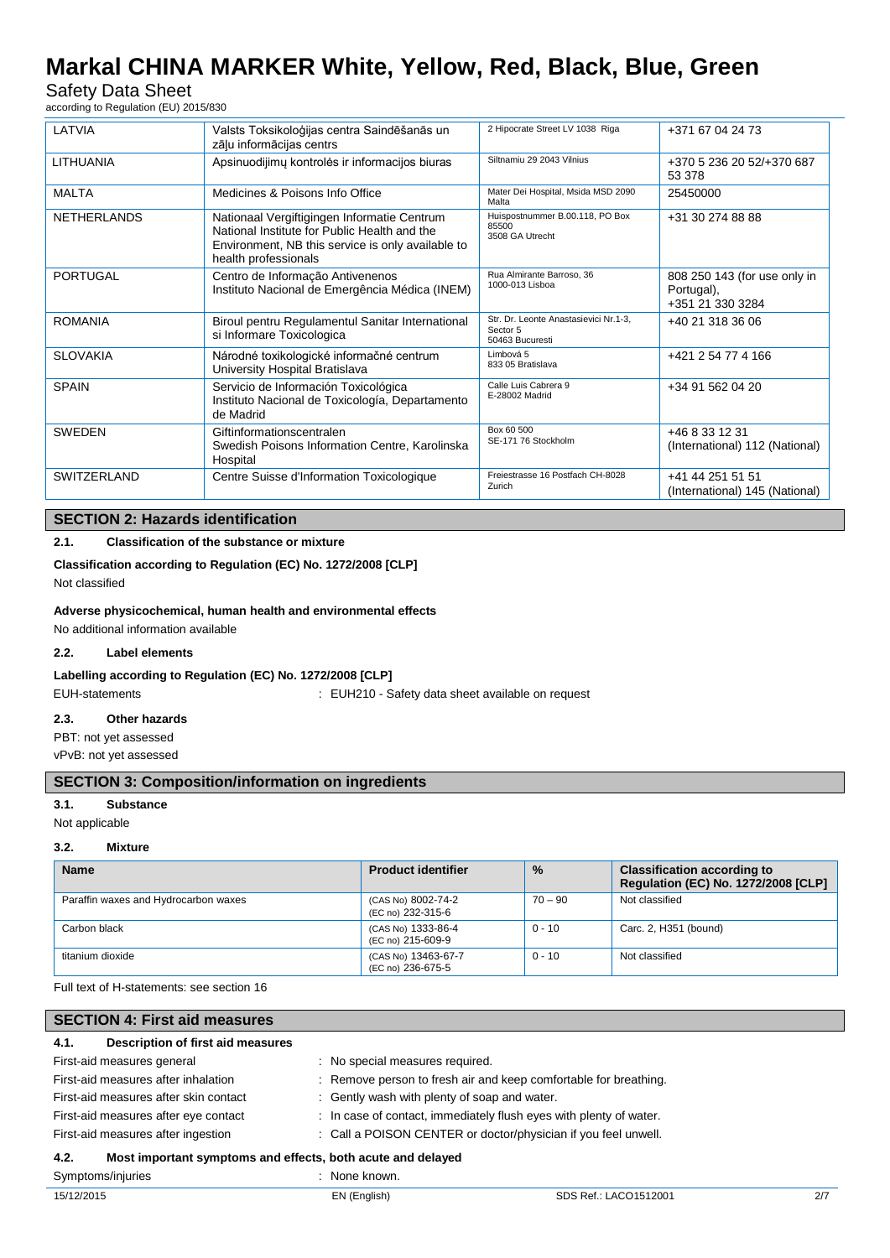# Safety Data Sheet

according to Regulation (EU) 2015/830

| LATVIA             | Valsts Toksikoloģijas centra Saindēšanās un<br>zāļu informācijas centrs                                                                                                  | 2 Hipocrate Street LV 1038 Riga                                      | +371 67 04 24 73                                               |
|--------------------|--------------------------------------------------------------------------------------------------------------------------------------------------------------------------|----------------------------------------------------------------------|----------------------------------------------------------------|
| <b>LITHUANIA</b>   | Apsinuodijimų kontrolės ir informacijos biuras                                                                                                                           | Siltnamiu 29 2043 Vilnius                                            | +370 5 236 20 52/+370 687<br>53 378                            |
| <b>MALTA</b>       | Medicines & Poisons Info Office                                                                                                                                          | Mater Dei Hospital, Msida MSD 2090<br>Malta                          | 25450000                                                       |
| <b>NETHERLANDS</b> | Nationaal Vergiftigingen Informatie Centrum<br>National Institute for Public Health and the<br>Environment, NB this service is only available to<br>health professionals | Huispostnummer B.00.118, PO Box<br>85500<br>3508 GA Utrecht          | +31 30 274 88 88                                               |
| <b>PORTUGAL</b>    | Centro de Informação Antivenenos<br>Instituto Nacional de Emergência Médica (INEM)                                                                                       | Rua Almirante Barroso, 36<br>1000-013 Lisboa                         | 808 250 143 (for use only in<br>Portugal),<br>+351 21 330 3284 |
| <b>ROMANIA</b>     | Biroul pentru Regulamentul Sanitar International<br>si Informare Toxicologica                                                                                            | Str. Dr. Leonte Anastasievici Nr.1-3,<br>Sector 5<br>50463 Bucuresti | +40 21 318 36 06                                               |
| <b>SLOVAKIA</b>    | Národné toxikologické informačné centrum<br>University Hospital Bratislava                                                                                               | Limbová 5<br>833 05 Bratislava                                       | +421 2 54 77 4 166                                             |
| <b>SPAIN</b>       | Servicio de Información Toxicológica<br>Instituto Nacional de Toxicología, Departamento<br>de Madrid                                                                     | Calle Luis Cabrera 9<br>E-28002 Madrid                               | +34 91 562 04 20                                               |
| <b>SWEDEN</b>      | Giftinformationscentralen<br>Swedish Poisons Information Centre, Karolinska<br>Hospital                                                                                  | Box 60 500<br>SE-171 76 Stockholm                                    | +46 8 33 12 31<br>(International) 112 (National)               |
| <b>SWITZERLAND</b> | Centre Suisse d'Information Toxicologique                                                                                                                                | Freiestrasse 16 Postfach CH-8028<br>Zurich                           | +41 44 251 51 51<br>(International) 145 (National)             |

# **SECTION 2: Hazards identification**

# **2.1. Classification of the substance or mixture**

# **Classification according to Regulation (EC) No. 1272/2008 [CLP]**

Not classified

### **Adverse physicochemical, human health and environmental effects**

No additional information available

## **2.2. Label elements**

### **Labelling according to Regulation (EC) No. 1272/2008 [CLP]**

EUH-statements : EUH210 - Safety data sheet available on request

## **2.3. Other hazards**

PBT: not yet assessed

vPvB: not yet assessed

# **SECTION 3: Composition/information on ingredients**

#### **3.1. Substance**

Not applicable

### **3.2. Mixture**

| <b>Name</b>                          | <b>Product identifier</b>                | $\frac{0}{0}$ | <b>Classification according to</b><br>Regulation (EC) No. 1272/2008 [CLP] |
|--------------------------------------|------------------------------------------|---------------|---------------------------------------------------------------------------|
| Paraffin waxes and Hydrocarbon waxes | (CAS No) 8002-74-2<br>(EC no) 232-315-6  | $70 - 90$     | Not classified                                                            |
| Carbon black                         | (CAS No) 1333-86-4<br>(EC no) 215-609-9  | $0 - 10$      | Carc. 2, H351 (bound)                                                     |
| titanium dioxide                     | (CAS No) 13463-67-7<br>(EC no) 236-675-5 | $0 - 10$      | Not classified                                                            |

Full text of H-statements: see section 16

| <b>SECTION 4: First aid measures</b>                                |                               |                                                                    |     |  |
|---------------------------------------------------------------------|-------------------------------|--------------------------------------------------------------------|-----|--|
| Description of first aid measures<br>4.1.                           |                               |                                                                    |     |  |
| First-aid measures general                                          | No special measures required. |                                                                    |     |  |
| First-aid measures after inhalation                                 |                               | : Remove person to fresh air and keep comfortable for breathing.   |     |  |
| First-aid measures after skin contact                               |                               | : Gently wash with plenty of soap and water.                       |     |  |
| First-aid measures after eye contact                                |                               | : In case of contact, immediately flush eyes with plenty of water. |     |  |
| First-aid measures after ingestion                                  |                               | : Call a POISON CENTER or doctor/physician if you feel unwell.     |     |  |
| Most important symptoms and effects, both acute and delayed<br>4.2. |                               |                                                                    |     |  |
| Symptoms/injuries                                                   | : None known.                 |                                                                    |     |  |
| 15/12/2015                                                          | EN (English)                  | SDS Ref.: LACO1512001                                              | 2/7 |  |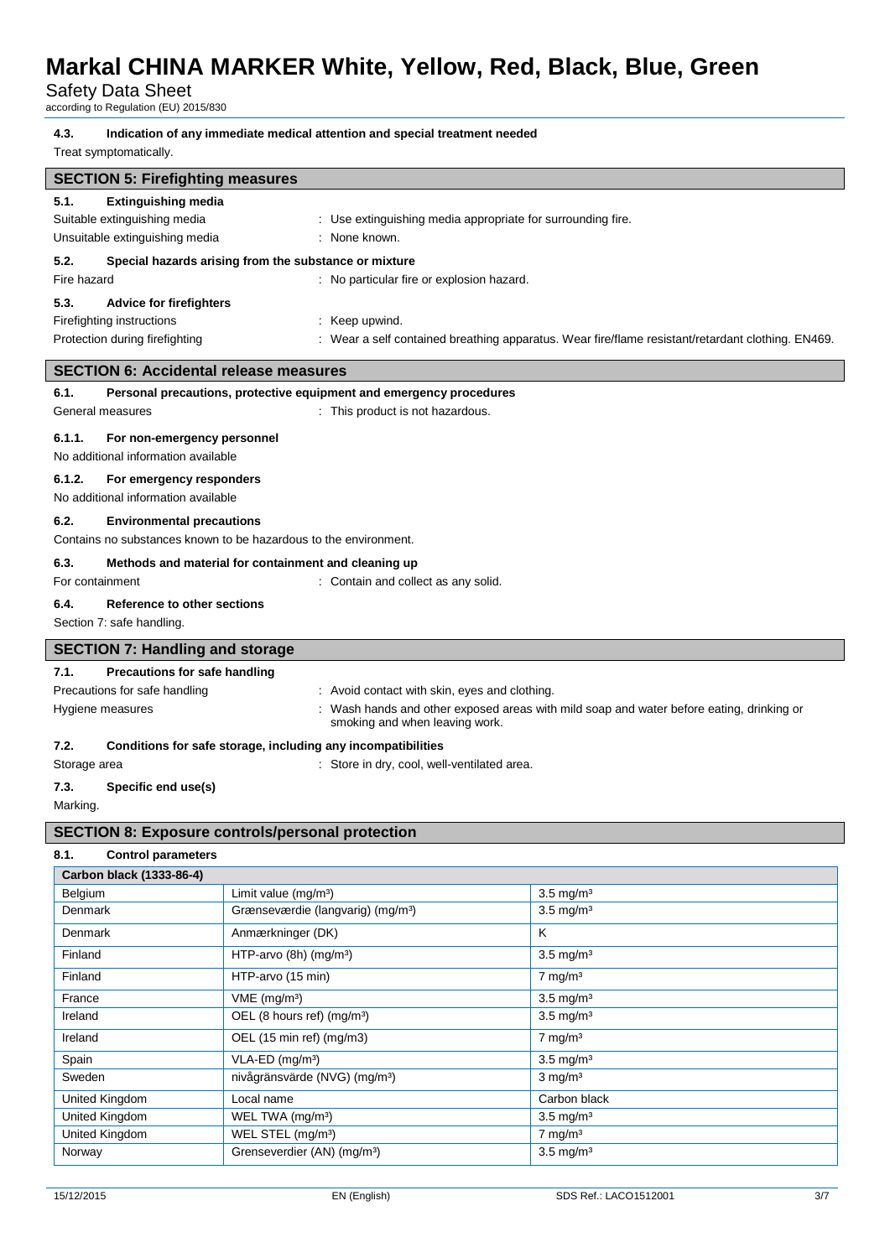Safety Data Sheet

| according to Regulation (EU) 2015/830                                        |                                                                                                                                                |                                                                                                   |  |  |  |
|------------------------------------------------------------------------------|------------------------------------------------------------------------------------------------------------------------------------------------|---------------------------------------------------------------------------------------------------|--|--|--|
| 4.3.<br>Treat symptomatically.                                               | Indication of any immediate medical attention and special treatment needed                                                                     |                                                                                                   |  |  |  |
| <b>SECTION 5: Firefighting measures</b>                                      |                                                                                                                                                |                                                                                                   |  |  |  |
| 5.1.<br>Suitable extinguishing media<br>Unsuitable extinguishing media       | <b>Extinguishing media</b><br>: Use extinguishing media appropriate for surrounding fire.<br>: None known.                                     |                                                                                                   |  |  |  |
| 5.2.                                                                         | Special hazards arising from the substance or mixture                                                                                          |                                                                                                   |  |  |  |
| Fire hazard                                                                  | : No particular fire or explosion hazard.                                                                                                      |                                                                                                   |  |  |  |
| 5.3.<br><b>Advice for firefighters</b>                                       |                                                                                                                                                |                                                                                                   |  |  |  |
| Firefighting instructions                                                    | : Keep upwind.                                                                                                                                 |                                                                                                   |  |  |  |
| Protection during firefighting                                               |                                                                                                                                                | : Wear a self contained breathing apparatus. Wear fire/flame resistant/retardant clothing. EN469. |  |  |  |
| <b>SECTION 6: Accidental release measures</b>                                |                                                                                                                                                |                                                                                                   |  |  |  |
| 6.1.                                                                         | Personal precautions, protective equipment and emergency procedures                                                                            |                                                                                                   |  |  |  |
| General measures                                                             | : This product is not hazardous.                                                                                                               |                                                                                                   |  |  |  |
| 6.1.1.<br>For non-emergency personnel<br>No additional information available |                                                                                                                                                |                                                                                                   |  |  |  |
| 6.1.2.<br>For emergency responders                                           |                                                                                                                                                |                                                                                                   |  |  |  |
| No additional information available                                          |                                                                                                                                                |                                                                                                   |  |  |  |
| 6.2.<br><b>Environmental precautions</b>                                     |                                                                                                                                                |                                                                                                   |  |  |  |
|                                                                              | Contains no substances known to be hazardous to the environment.                                                                               |                                                                                                   |  |  |  |
| 6.3.                                                                         | Methods and material for containment and cleaning up                                                                                           |                                                                                                   |  |  |  |
| For containment                                                              | : Contain and collect as any solid.                                                                                                            |                                                                                                   |  |  |  |
| 6.4.<br>Reference to other sections                                          |                                                                                                                                                |                                                                                                   |  |  |  |
| Section 7: safe handling.                                                    |                                                                                                                                                |                                                                                                   |  |  |  |
| <b>SECTION 7: Handling and storage</b>                                       |                                                                                                                                                |                                                                                                   |  |  |  |
| 7.1.<br>Precautions for safe handling                                        |                                                                                                                                                |                                                                                                   |  |  |  |
| Precautions for safe handling                                                | : Avoid contact with skin, eyes and clothing.                                                                                                  |                                                                                                   |  |  |  |
|                                                                              | : Wash hands and other exposed areas with mild soap and water before eating, drinking or<br>Hygiene measures<br>smoking and when leaving work. |                                                                                                   |  |  |  |
| 7.2.                                                                         | Conditions for safe storage, including any incompatibilities                                                                                   |                                                                                                   |  |  |  |
| Storage area                                                                 | Store in dry, cool, well-ventilated area.                                                                                                      |                                                                                                   |  |  |  |
| 7.3.                                                                         | Specific end use(s)                                                                                                                            |                                                                                                   |  |  |  |
| Marking.                                                                     |                                                                                                                                                |                                                                                                   |  |  |  |
|                                                                              | <b>SECTION 8: Exposure controls/personal protection</b>                                                                                        |                                                                                                   |  |  |  |
| 8.1.<br><b>Control parameters</b>                                            |                                                                                                                                                |                                                                                                   |  |  |  |
| Carbon black (1333-86-4)                                                     |                                                                                                                                                |                                                                                                   |  |  |  |
| Belgium                                                                      | Limit value (mg/m <sup>3</sup> )                                                                                                               | $3.5 \text{ mg/m}^3$                                                                              |  |  |  |
| Denmark                                                                      | Grænseværdie (langvarig) (mg/m <sup>3</sup> )                                                                                                  | $3.5 \text{ mg/m}^3$                                                                              |  |  |  |
| Denmark                                                                      | Anmærkninger (DK)                                                                                                                              | K                                                                                                 |  |  |  |
| Finland                                                                      | HTP-arvo (8h) (mg/m <sup>3</sup> )                                                                                                             | $3.5 \text{ mg/m}^3$                                                                              |  |  |  |
| Finland                                                                      | HTP-arvo (15 min)                                                                                                                              | $7 \text{ mg/m}^3$                                                                                |  |  |  |
| France                                                                       | $VME$ (mg/m <sup>3</sup> )                                                                                                                     | $3.5 \text{ mg/m}^3$                                                                              |  |  |  |
| Ireland                                                                      | OEL (8 hours ref) (mg/m <sup>3</sup> )                                                                                                         | $3.5 \text{ mg/m}^3$                                                                              |  |  |  |
| Ireland                                                                      | OEL (15 min ref) (mg/m3)<br>$7 \text{ mg/m}^3$                                                                                                 |                                                                                                   |  |  |  |
| Spain                                                                        | VLA-ED (mg/m <sup>3</sup> )                                                                                                                    | $3.5 \text{ mg/m}^3$                                                                              |  |  |  |
| Sweden                                                                       | nivågränsvärde (NVG) (mg/m <sup>3</sup> )                                                                                                      | $3$ mg/m $3$                                                                                      |  |  |  |

United Kingdom WEL STEL (mg/m<sup>3</sup>)

United Kingdom Local name Local name Carbon black United Kingdom WEL TWA (mg/m<sup>3</sup>) 3.5 mg/m<sup>3</sup><br>United Kingdom WEL STEL (mg/m<sup>3</sup>) 7 mg/m<sup>3</sup>

Norway Grenseverdier (AN) (mg/m<sup>3</sup>) 3.5 mg/m<sup>3</sup>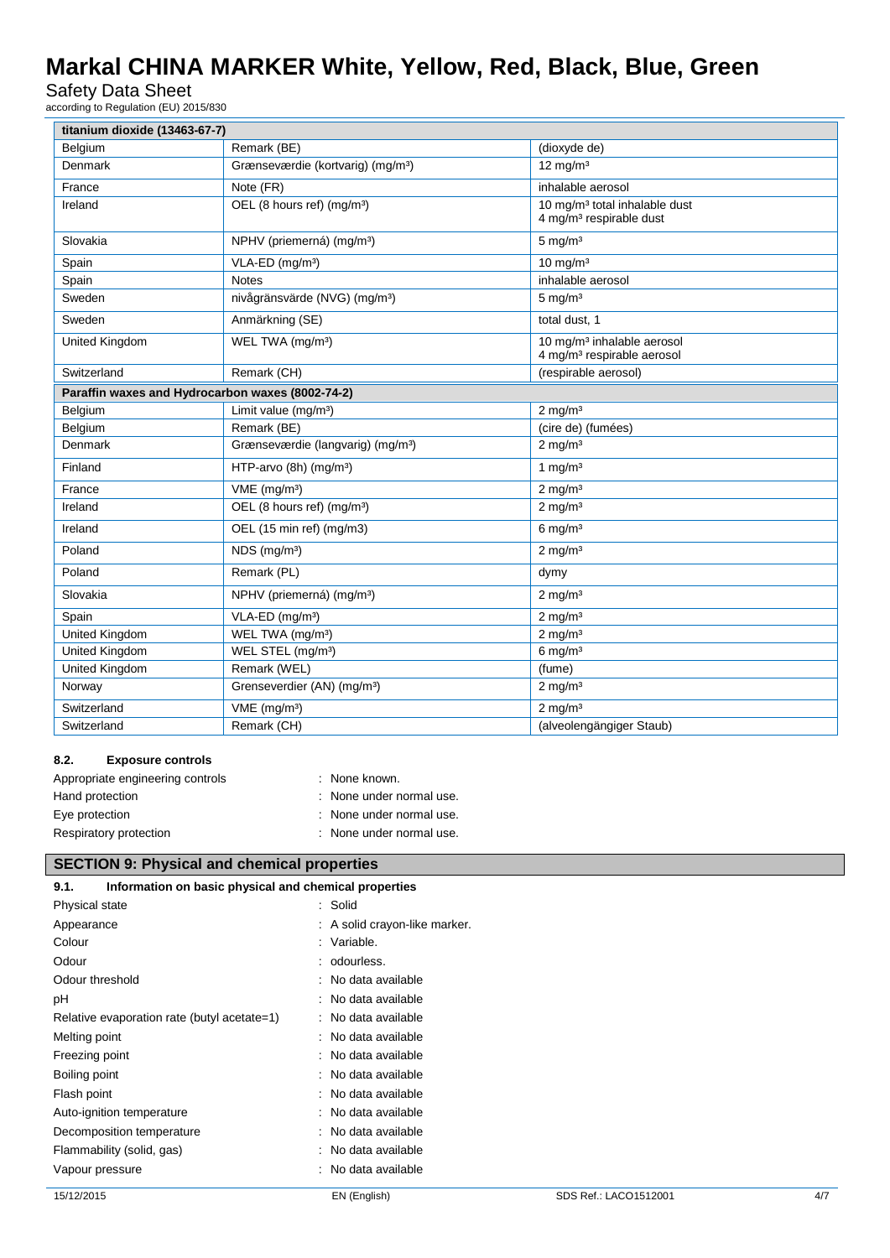Safety Data Sheet

according to Regulation (EU) 2015/830

| titanium dioxide (13463-67-7)                    |                                               |                                                                                  |  |  |
|--------------------------------------------------|-----------------------------------------------|----------------------------------------------------------------------------------|--|--|
| Belgium                                          | Remark (BE)                                   | (dioxyde de)                                                                     |  |  |
| Denmark                                          | Grænseværdie (kortvarig) (mg/m <sup>3</sup> ) | $12 \text{ mg/m}^3$                                                              |  |  |
| France                                           | Note (FR)                                     | inhalable aerosol                                                                |  |  |
| Ireland                                          | OEL (8 hours ref) (mg/m <sup>3</sup> )        | 10 mg/m <sup>3</sup> total inhalable dust<br>4 mg/m <sup>3</sup> respirable dust |  |  |
| Slovakia                                         | NPHV (priemerná) (mg/m <sup>3</sup> )         | $5 \text{ mg/m}^3$                                                               |  |  |
| Spain                                            | VLA-ED (mg/m <sup>3</sup> )                   | $10 \text{ mg/m}^3$                                                              |  |  |
| Spain                                            | <b>Notes</b>                                  | inhalable aerosol                                                                |  |  |
| Sweden                                           | nivågränsvärde (NVG) (mg/m <sup>3</sup> )     | $5 \text{ mg/m}^3$                                                               |  |  |
| Sweden                                           | Anmärkning (SE)                               | total dust, 1                                                                    |  |  |
| United Kingdom                                   | WEL TWA (mg/m <sup>3</sup> )                  | 10 mg/m <sup>3</sup> inhalable aerosol<br>4 mg/m <sup>3</sup> respirable aerosol |  |  |
| Switzerland                                      | Remark (CH)                                   | (respirable aerosol)                                                             |  |  |
| Paraffin waxes and Hydrocarbon waxes (8002-74-2) |                                               |                                                                                  |  |  |
| Belgium                                          | Limit value (mg/m <sup>3</sup> )              | $2 \text{ mg/m}^3$                                                               |  |  |
| Belgium                                          | Remark (BE)                                   | (cire de) (fumées)                                                               |  |  |
| Denmark                                          | Grænseværdie (langvarig) (mg/m <sup>3</sup> ) | $2$ mg/m <sup>3</sup>                                                            |  |  |
| Finland                                          | HTP-arvo $(8h)$ (mg/m <sup>3</sup> )          | 1 mg/ $m3$                                                                       |  |  |
| France                                           | $VME$ (mg/m <sup>3</sup> )                    | $2$ mg/m <sup>3</sup>                                                            |  |  |
| Ireland                                          | OEL (8 hours ref) (mg/m <sup>3</sup> )        | $2$ mg/m <sup>3</sup>                                                            |  |  |
| Ireland                                          | OEL (15 min ref) (mg/m3)                      | $6$ mg/m <sup>3</sup>                                                            |  |  |
| Poland                                           | NDS (mg/m <sup>3</sup> )                      | $2 \text{ mg/m}^3$                                                               |  |  |
| Poland                                           | Remark (PL)                                   | dymy                                                                             |  |  |
| Slovakia                                         | NPHV (priemerná) (mg/m <sup>3</sup> )         | $2 \text{ mg/m}^3$                                                               |  |  |
| Spain                                            | VLA-ED (mg/m <sup>3</sup> )                   | $2$ mg/m <sup>3</sup>                                                            |  |  |
| United Kingdom                                   | WEL TWA (mg/m <sup>3</sup> )                  | $2$ mg/m <sup>3</sup>                                                            |  |  |
| United Kingdom                                   | WEL STEL (mg/m <sup>3</sup> )                 | $6$ mg/m <sup>3</sup>                                                            |  |  |
| United Kingdom                                   | Remark (WEL)                                  | (fume)                                                                           |  |  |
| Norway                                           | Grenseverdier (AN) (mg/m <sup>3</sup> )       | $2 \text{ mg/m}^3$                                                               |  |  |
| Switzerland                                      | $VME$ (mg/m <sup>3</sup> )                    | $2$ mg/m <sup>3</sup>                                                            |  |  |
| Switzerland                                      | Remark (CH)                                   | (alveolengängiger Staub)                                                         |  |  |

## **8.2. Exposure controls**

| Appropriate engineering controls | : None known.            |
|----------------------------------|--------------------------|
| Hand protection                  | : None under normal use. |
| Eye protection                   | : None under normal use. |
| Respiratory protection           | : None under normal use. |

# **SECTION 9: Physical and chemical properties**

| Information on basic physical and chemical properties<br>9.1. |  |                               |  |
|---------------------------------------------------------------|--|-------------------------------|--|
| Physical state                                                |  | : Solid                       |  |
| Appearance                                                    |  | : A solid crayon-like marker. |  |
| Colour                                                        |  | : Variable.                   |  |
| Odour                                                         |  | : odourless.                  |  |
| Odour threshold                                               |  | : No data available           |  |
| рH                                                            |  | : No data available           |  |
| Relative evaporation rate (butyl acetate=1)                   |  | : No data available           |  |
| Melting point                                                 |  | : No data available           |  |
| Freezing point                                                |  | : No data available           |  |
| Boiling point                                                 |  | : No data available           |  |
| Flash point                                                   |  | : No data available           |  |
| Auto-ignition temperature                                     |  | : No data available           |  |
| Decomposition temperature                                     |  | : No data available           |  |
| : No data available<br>Flammability (solid, gas)              |  |                               |  |
| Vapour pressure                                               |  | : No data available           |  |
|                                                               |  |                               |  |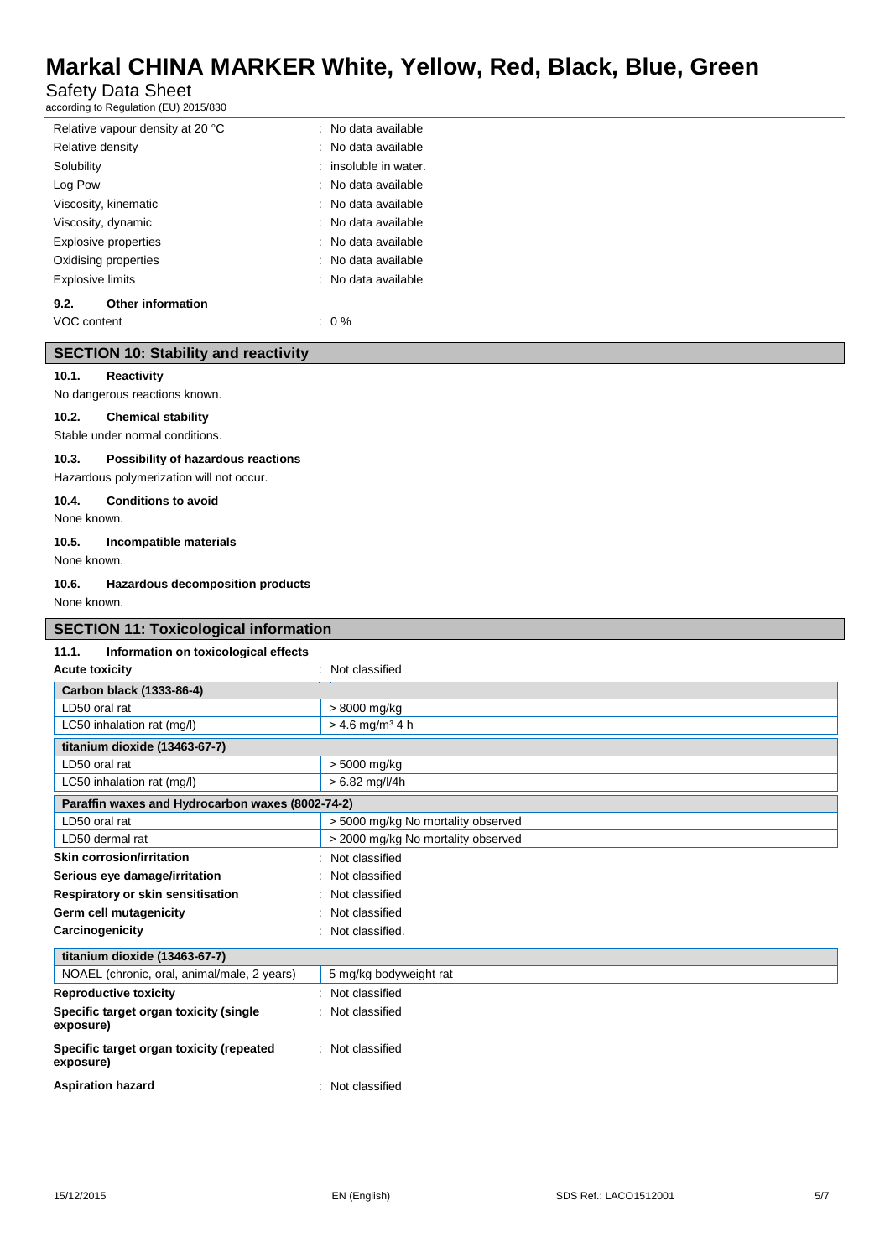Safety Data Sheet

according to Regulation (EU) 2015/830

| Relative vapour density at 20 °C |                          | : No data available   |
|----------------------------------|--------------------------|-----------------------|
| Relative density                 |                          | : No data available   |
| Solubility                       |                          | : insoluble in water. |
| Log Pow                          |                          | : No data available   |
| Viscosity, kinematic             |                          | : No data available   |
| Viscosity, dynamic               |                          | : No data available   |
| <b>Explosive properties</b>      |                          | : No data available   |
| Oxidising properties             |                          | : No data available   |
| Explosive limits                 |                          | : No data available   |
| 9.2.                             | <b>Other information</b> |                       |
| VOC content                      |                          | $: 0\%$               |

# **SECTION 10: Stability and reactivity**

#### **10.1. Reactivity**

No dangerous reactions known.

## **10.2. Chemical stability**

Stable under normal conditions.

### **10.3. Possibility of hazardous reactions**

Hazardous polymerization will not occur.

### **10.4. Conditions to avoid**

None known.

### **10.5. Incompatible materials**

None known.

### **10.6. Hazardous decomposition products**

None known.

| <b>SECTION 11: Toxicological information</b>          |                                    |  |  |  |
|-------------------------------------------------------|------------------------------------|--|--|--|
| 11.1.<br>Information on toxicological effects         |                                    |  |  |  |
| <b>Acute toxicity</b>                                 | : Not classified                   |  |  |  |
| Carbon black (1333-86-4)                              |                                    |  |  |  |
| I D50 oral rat                                        | > 8000 mg/kg                       |  |  |  |
| LC50 inhalation rat (mg/l)                            | $> 4.6$ mg/m <sup>3</sup> 4 h      |  |  |  |
| titanium dioxide (13463-67-7)                         |                                    |  |  |  |
| LD50 oral rat                                         | > 5000 mg/kg                       |  |  |  |
| LC50 inhalation rat (mg/l)                            | $> 6.82$ mg/l/4h                   |  |  |  |
| Paraffin waxes and Hydrocarbon waxes (8002-74-2)      |                                    |  |  |  |
| LD50 oral rat                                         | > 5000 mg/kg No mortality observed |  |  |  |
| LD50 dermal rat                                       | > 2000 mg/kg No mortality observed |  |  |  |
| <b>Skin corrosion/irritation</b>                      | : Not classified                   |  |  |  |
| Serious eye damage/irritation                         | : Not classified                   |  |  |  |
| Respiratory or skin sensitisation                     | : Not classified                   |  |  |  |
| Germ cell mutagenicity                                | : Not classified                   |  |  |  |
| Carcinogenicity                                       | : Not classified.                  |  |  |  |
| titanium dioxide (13463-67-7)                         |                                    |  |  |  |
| NOAEL (chronic, oral, animal/male, 2 years)           | 5 mg/kg bodyweight rat             |  |  |  |
| <b>Reproductive toxicity</b>                          | : Not classified                   |  |  |  |
| Specific target organ toxicity (single<br>exposure)   | : Not classified                   |  |  |  |
| Specific target organ toxicity (repeated<br>exposure) | : Not classified                   |  |  |  |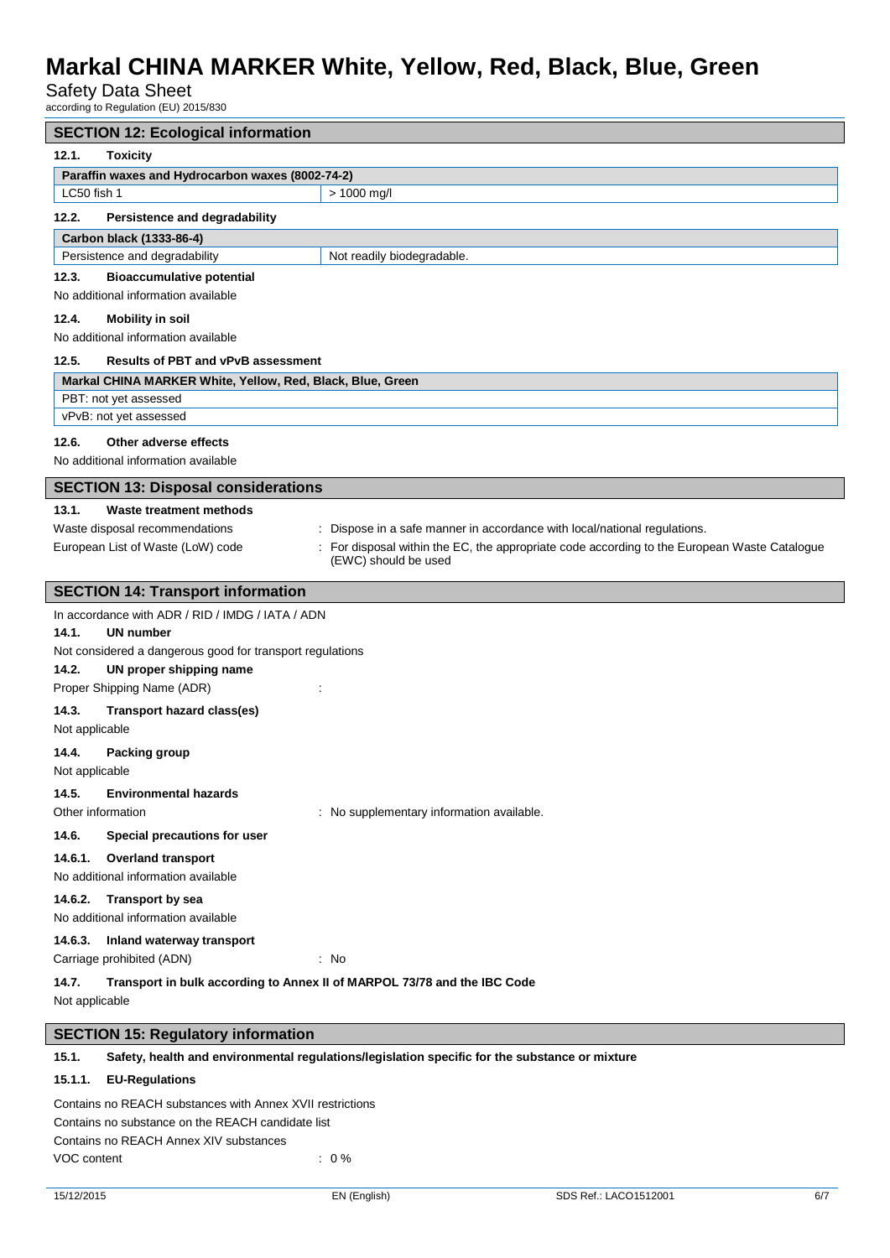Safety Data Sheet

according to Regulation (EU) 2015/830

| <b>SECTION 12: Ecological information</b>                                                                                                               |  |  |  |  |
|---------------------------------------------------------------------------------------------------------------------------------------------------------|--|--|--|--|
| 12.1.<br><b>Toxicity</b>                                                                                                                                |  |  |  |  |
| Paraffin waxes and Hydrocarbon waxes (8002-74-2)                                                                                                        |  |  |  |  |
| LC50 fish 1<br>$> 1000$ mg/l                                                                                                                            |  |  |  |  |
| 12.2.<br>Persistence and degradability                                                                                                                  |  |  |  |  |
| Carbon black (1333-86-4)                                                                                                                                |  |  |  |  |
| Persistence and degradability<br>Not readily biodegradable.                                                                                             |  |  |  |  |
| 12.3.<br><b>Bioaccumulative potential</b>                                                                                                               |  |  |  |  |
| No additional information available                                                                                                                     |  |  |  |  |
| 12.4.<br><b>Mobility in soil</b>                                                                                                                        |  |  |  |  |
| No additional information available                                                                                                                     |  |  |  |  |
| 12.5.<br><b>Results of PBT and vPvB assessment</b>                                                                                                      |  |  |  |  |
| Markal CHINA MARKER White, Yellow, Red, Black, Blue, Green                                                                                              |  |  |  |  |
| PBT: not yet assessed                                                                                                                                   |  |  |  |  |
| vPvB: not yet assessed                                                                                                                                  |  |  |  |  |
| Other adverse effects<br>12.6.                                                                                                                          |  |  |  |  |
| No additional information available                                                                                                                     |  |  |  |  |
| <b>SECTION 13: Disposal considerations</b>                                                                                                              |  |  |  |  |
| 13.1.<br>Waste treatment methods                                                                                                                        |  |  |  |  |
| Waste disposal recommendations<br>Dispose in a safe manner in accordance with local/national regulations.                                               |  |  |  |  |
| European List of Waste (LoW) code<br>For disposal within the EC, the appropriate code according to the European Waste Catalogue<br>(EWC) should be used |  |  |  |  |
| <b>SECTION 14: Transport information</b>                                                                                                                |  |  |  |  |
| In accordance with ADR / RID / IMDG / IATA / ADN                                                                                                        |  |  |  |  |
| 14.1.<br><b>UN number</b>                                                                                                                               |  |  |  |  |
| Not considered a dangerous good for transport regulations                                                                                               |  |  |  |  |
| 14.2.<br>UN proper shipping name                                                                                                                        |  |  |  |  |
| Proper Shipping Name (ADR)                                                                                                                              |  |  |  |  |
| 14.3.<br>Transport hazard class(es)                                                                                                                     |  |  |  |  |
| Not applicable                                                                                                                                          |  |  |  |  |
| 14.4.<br><b>Packing group</b>                                                                                                                           |  |  |  |  |
| Not applicable                                                                                                                                          |  |  |  |  |
| 14.5.<br><b>Environmental hazards</b>                                                                                                                   |  |  |  |  |
| Other information<br>: No supplementary information available.                                                                                          |  |  |  |  |
| 14.6.<br>Special precautions for user                                                                                                                   |  |  |  |  |
| 14.6.1.<br><b>Overland transport</b>                                                                                                                    |  |  |  |  |
| No additional information available                                                                                                                     |  |  |  |  |
| Transport by sea<br>14.6.2.                                                                                                                             |  |  |  |  |
| No additional information available                                                                                                                     |  |  |  |  |
| 14.6.3.<br>Inland waterway transport                                                                                                                    |  |  |  |  |
| Carriage prohibited (ADN)<br>: No                                                                                                                       |  |  |  |  |
| 14.7.<br>Transport in bulk according to Annex II of MARPOL 73/78 and the IBC Code                                                                       |  |  |  |  |
| Not applicable                                                                                                                                          |  |  |  |  |
| <b>SECTION 15: Regulatory information</b>                                                                                                               |  |  |  |  |

## **15.1. Safety, health and environmental regulations/legislation specific for the substance or mixture**

### **15.1.1. EU-Regulations**

Contains no REACH substances with Annex XVII restrictions Contains no substance on the REACH candidate list Contains no REACH Annex XIV substances VOC content  $\sim$  0 %